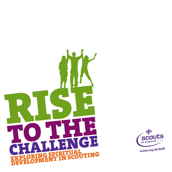

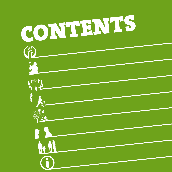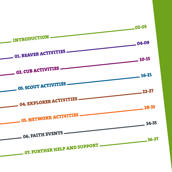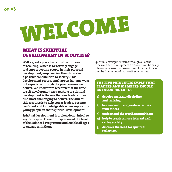# WELCOME

## WHAT IS SPIRITUAL DEVELOPMENT IN SCOUTING?

Well a good a place to start is the purpose of Scouting, which is to 'actively engage and support young people in their personal development, empowering them to make a positive contribution to society'. This development process can happen in many ways, but especially through the programmes we deliver. We know from research that the zone or self development area relating to spiritual development is the one that our leaders often find most challenging to deliver. The aim of this resource is to help you as leaders become confident and knowledgeable when supporting young people in their spiritual development.

Spiritual development is broken down into five key principles. These principles are at the heart of the Balanced Programme and enable all ages to engage with them.

Spiritual development runs through all of the zones and self development areas so it can be easily integrated across the programme. Aspects of it can then be drawn out of many other activities.

#### THE FIVE PRINCIPLES IMPLY THAT LEADERS AND MEMBERS SHOULD BE ENCOURAGED TO:

- 1) develop an inner discipline and training
- 2) be involved in corporate activities with others
- 3) understand the world around them
- 4) help to create a more tolerant and caring society
- 5) discover the need for spiritual reflection.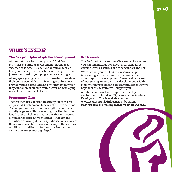### WHAT'S INSIDE?

#### The five principles of spiritual development

At the start of each chapter, you will find five principles of spiritual development relating to a specific age range. This should give you an idea of how you can help them reach the next stage of their journey and design your programme accordingly.

At any age a young person may make decisions about their own personal faith. In Scouting we aim always to provide young people with an environment in which they can follow their own faith, as well as developing respect for the views of others.

#### Programme ideas

The resource also contains an activity for each area of spiritual development, for each of the five sections. The programmes ideas vary in length. It could be an activity or game within a meeting; one that lasts the length of the whole meeting, or one that runs across a number of consecutive meetings. Although the activities are arranged under specific sections, many of them can be adapted to work with any of the sections. Additional activities can be found on Programmes Online at www.scouts.org.uk/pol

#### Faith events

The final part of this resource lists some place where you can find information about organising faith events as well as sources of further support and help.

We trust that you will find this resource helpful in planning and delivering quality programmes around spiritual development. If may just be a case of recognising where spiritual development is taking place within your existing programme. Either way we hope that this resource will support you.

Additional information on spiritual development can be found in factsheet FS322021 *What is Spiritual Development?* This is available online at www.scouts.org.uk/infocentre or by calling 0845 300 1818 or emailing info.centre@scout.org.uk

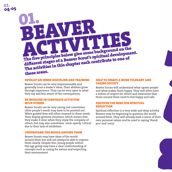04-05 01.

# The five principles below give some background on the<br>The five principles below give some background developme! different stages of a Beaver Scout's spiritual development. The activities in this chapter each contribute to one of these areas. 01. BEAVER **ACTIVITY SOME background on the Second Law Engineer School Second Law Engineer Second Law Act 2011**

#### DEVELOP AN INNER DISCIPLINE AND TRAINING

Beaver Scouts can be very impressionable and generally trust a leader's ideas. Their abilities grow through experience. They can be very open in what they say and less aware of the consequences.

#### BE INVOLVED IN CORPORATE ACTIVITIES WITH OTHERS

Beaver Scouts can be very caring, but sometimes other people's needs may have to be pointed out. When guided they will often respond to these needs. They display genuine emotions, which means that they make it clear when they enjoy the company of others, but may also sometimes seem openly 'critical' due to their lack of inhibition.

#### UNDERSTAND THE WORLD AROUND THEM

Beaver Scouts may have ideas of the world around them but will not always be able to express them clearly. Despite this, young people within this age group may have a clear understanding of concepts such as caring for nature and respecting their environment.

#### HELP TO CREATE A MORE TOLERANT AND CARING SOCIETY

Beaver Scouts will understand what upsets people and what makes them happy. They will often have a notion of respect for others and awareness that those around them need to feel happy and safe.

#### DISCOVER THE NEED FOR SPIRITUAL **REFLECTION**

Spiritual reflection is a very wide and deep activity. Beavers may be beginning to question the world around them. They will already have a sense of their own personal values and be used to saying 'thank you' and 'sorry'.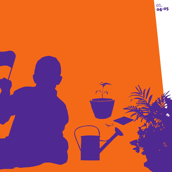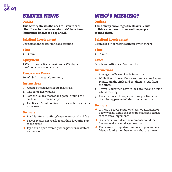#### 06-07 01.

# BEAVER NEWS

#### **Outline**

This activity stresses the need to listen to each other. It can be used as an informal Colony forum (sometimes known as a Log Chew).

#### Spiritual development

Develop an inner discipline and training

#### Time

 $5 - 15$  min

#### Equipment

A CD with some lively music and a CD player, the Colony mascot or a parcel.

#### Programme Zones

Beliefs & Attitudes | Community

#### Instructions

- 1. Arrange the Beaver Scouts in a circle.
- 2. Play some lively music.
- 3. Pass the Colony mascot or a parcel around the circle until the music stops.
- 4. The Beaver Scout holding the mascot tells everyone some news.

#### Do more

- $\rightarrow$  Try this after an outing, sleepover or school holiday.
- $\rightarrow$  Beaver Scouts can speak about their favourite part of the event.
- $\rightarrow$  Try it at an open evening when parents or visitors are present.

# WHO'S MISSING?

#### Outline

This activity encourages the Beaver Scouts to think about each other and the people around them.

#### Spiritual development

Be involved in corporate activities with others

#### Time

 $5 - 10$  min

#### Zones

Beliefs and Attitudes | Community

#### **Instructions**

- 1. Arrange the Beaver Scouts in a circle.
- 2. While they all cover their eyes, remove one Beaver Scout from the circle and get them to hide from the others.
- 3. Beaver Scouts then have to look around and decide who is missing.
- 4. They then need to say something positive about the missing person to bring him or her back.

#### Do more

- $\rightarrow$  Is there a Beaver Scout who has not attended for a few weeks? Could the Beavers make and send a card of encouragement?
- $\rightarrow$  Is a Beaver Scout ill at the moment? Could the Beavers make or send a get well card?
- $\rightarrow$  There are also opportunities here to pray for any friends, family members or pets that are unwell.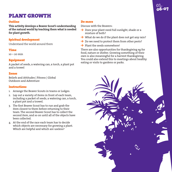# PLANT GROWTH

#### Outline

This activity develops a Beaver Scout's understanding of the natural world by teaching them what is needed for plant growth.

#### Spiritual development

Understand the world around them

#### Time

 $10 - 20$  min

#### Equipment

A packet of seeds, a watering can, a torch, a plant pot and a trowel

#### Zones

Beliefs and Attitudes | Fitness | Global Outdoors and Adventure

#### **Instructions**

- 1. Arrange the Beaver Scouts in teams or Lodges.
- 2. Lay out a variety of items in front of each team, including a packet of seeds, a watering can, a torch, a plant pot and a trowel.
- 3. The first Beaver Scout has to run and grab the item closest to them before returning to their team. The second Beaver Scout has to collect the second item, and so on until all of the objects have been collected.
- 4. At the end of the race each team has to decide which objects are necessary for growing a plant. Which are helpful and which are useless?

#### Do more

Discuss with the Beavers:

- $\rightarrow$  Does your plant need full sunlight, shade or a mixture of both?
- $\rightarrow$  What do we do if the plant does not get any rain?
- $\rightarrow$  Do we need to protect them from other pests?
- $\rightarrow$  Plant the seeds somewhere!

There are also opportunities for thanksgiving eg for food, nature or shelter. Growing something of their own is also meaningful for a harvest thanksgiving. You could also extend this to meetings about healthy eating or visits to gardens or parks.

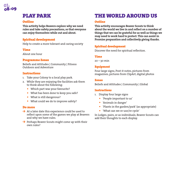# PLAY PARK

#### **Outline**

This activity helps Beavers explore why we need rules and take safety precautions, so that everyone can enjoy themselves while out and about.

#### Spiritual development

Help to create a more tolerant and caring society

#### Time

About one hour

#### Programme Zones

Beliefs and Attitudes | Community | Fitness Outdoors and Adventure

#### Instructions

- 1. Take your Colony to a local play park.
- 2. While they are enjoying the facilities ask them to think about the following:
	- Which part was your favourite?
	- What has been done to keep you safe?
	- What is still dangerous?
	- What could we do to improve safety?

#### Do more

- $\rightarrow$  At a later date this experience could be used to reflect upon some of the games we play at Beavers and why we have rules.
- $\rightarrow$  Perhaps Beaver Scouts might come up with their own rules?

# THE WORLD AROUND US

#### **Outline**

This activity encourages Beaver Scouts to think about the world we live in and reflect on a number of things that we can be grateful for as well as things we may need to work hard to protect. This can assist in Promise preparation and collectively giving thanks.

#### Spiritual development

Discover the need for spiritual reflection.

#### Time

 $20 - 30$  min

#### Equipment

Four large signs, Post-it notes, pictures from magazines, pictures from ClipArt, digital photos

#### Zones

Beliefs and Attitudes | Community | Global

#### **Instructions**

- 1. Display four large signs
	- 'People important to us'
	- 'Animals in danger'
	- 'Plants in the garden/park' (as appropriate)
	- 'What can we re-use/re-cycle'

In Lodges, pairs, or as individuals, Beaver Scouts can add their thoughts to each display.

08-09 01.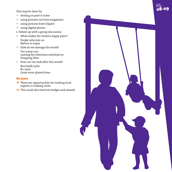This may be done by

- 
- writing on post-it notes using pictures cut from magazines using pictures from ClipArt using digital photos
- 
- 
- 2. Follow up with a group discussion:
- What makes the world a happy place? People who love us Nature to enjoy
- How do we damage the world? Too many cars Leaving the television switched on Dropping litter
- How can we look after this world? Bus/walk/cycle Re-cycle Grow more plants/trees

#### Do more

- $\rightarrow$  There are opportunities for inviting local experts or making visits.
- $\rightarrow$  This could also lead into badges and awards.

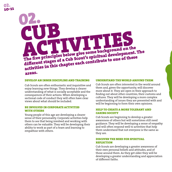#### 10-11 02.

# The five principles below give some background on the<br>The five principles below give some background on the The five principles below give some background oment. The<br>different stages of a Cub Scout's spiritual development. The<br>different stages of a Cub Scout's spiritual development. The activities in this chapter each contribute to one of these areas. 02. CUB ACTIVITIES below give some background on the South of the South of the South of the South of the South of the South of the South of the South of the South of the South of the South of the South of the South of the South of

#### DEVELOP AN INNER DISCIPLINE AND TRAINING

Cub Scouts are often enthusiastic and inquisitive and enjoy learning new things. They develop a clearer understanding of what is socially acceptable and the consequences of their actions. When developing a sectional code of conduct they will often have clear views about what should be included.

#### BE INVOLVED IN CORPORATE ACTIVITIES WITH OTHERS

Young people of this age are developing a clearer sense of their personality. Corporate activities help them to see that being involved and working with others can be valuable. They will be developing their ability to work as part of a team and learning to empathise with others.

#### UNDERSTAND THE WORLD AROUND THEM

Cub Scouts are often interested in the world around them and, given the opportunity, will discover more about it. They are open in their approach to finding out about other countries, their customs and cultures. They will be developing a more complex understanding of issues they are presented with and will be beginning to form their own opinions.

#### HELP TO CREATE A MORE TOLERANT AND CARING SOCIETY

Cub Scouts are beginning to develop a greater awareness of others but will sometimes still need guidance. They will be developing a sense of empathy and will often respond well to activities that help them understand that not everyone is the same as they are.

#### DISCOVER THE NEED FOR SPIRITUAL REFLECTION

Cub Scouts are developing a greater awareness of their own personal beliefs and attitudes, and of those around them. As they get older they will be developing a greater understanding and appreciation of different faiths.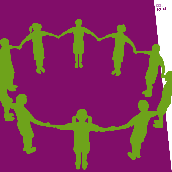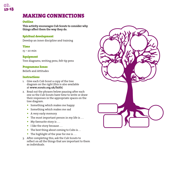# MAKING CONNECTIONS

#### Outline

This activity encourages Cub Scouts to consider why things affect them the way they do.

#### Spiritual development

Develop an inner discipline and training

#### Time

15 – 20 min

#### Equipment

Tree diagrams, writing pens, felt-tip pens

#### Programme Zones

Beliefs and Attitudes

- 1. Give each Cub Scout a copy of the tree diagram on the right (this is also available at www.scouts.org.uk/faith)
- 2. Read out the phrases below pausing after each one so the Cub Scouts have time to write or draw their responses in the appropriate spaces on the tree diagram.
	- Something which makes me happy
	- Something which makes me sad
	- A very early memory
	- The most important person in my life is  $\dots$
	- My favourite story is ...
	- I like the story because ...
	- The best thing about coming to Cubs is...
	- The highlight of the year for me is ...
- 3. After completing this, ask the Cub Scouts to reflect on all the things that are important to them as individuals.

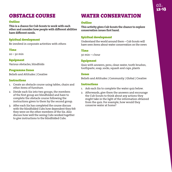# OBSTACLE COURSE

#### **Outline**

This is a chance for Cub Scouts to work with each other and consider how people with different abilities have different needs.

#### Spiritual development

Be involved in corporate activities with others

#### Time

 $20 - 30$  min

#### Equipment

Various obstacles, blindfolds

#### Programme Zones

Beliefs and Attitudes | Creative

#### Instructions

- 1. Create an obstacle course using tables, chairs and other items of furniture.
- 2. Divide each Six into two groups, the members of the first group are blindfolded and have to complete the obstacle course following the instructions given to them by the second group.
- 3. After each Six has completed the course discuss with the blindfolded Cubs how dependent they felt they were on the other members of the Six. Also discuss how well the seeing Cubs worked together to give instructions to the blindfolded Cubs.

# WATER CONSERVATION

#### Outline

This activity gives Cub Scouts the chance to explore conservation issues first hand.

#### Spiritual development

Understand the world around them – Cub Scouts will have seen items about water conservation on the news

#### Time

30 min – 1 hour

#### Equipment

Quiz with answers, pens, clean water, tooth brushes, toothpaste, soap, socks, squash and cups, plants

#### **Zones**

Beliefs and Attitudes | Community | Global | Creative

- 1. Ask each Six to complete the water quiz below.
- 2. Afterwards, give them the answers and encourage the Cub Scouts to think about any actions they might take in the light of the information obtained from the quiz. For example, how would they conserve water at home?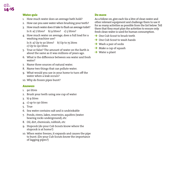#### Water quiz

- 1. How much water does an average bath hold?
- 2. How can you save water when brushing your teeth?
- 3. How much water does it take to flush an average toilet? Is it: a)  $7$  litres? b)  $9$  litres? c)  $5$  litres?
- 4. How much water on average, does a full load for a washing machine use?

Is it: a) Up to 30 litres? b) Up to  $75$  litres c) Up to 130 litres

- 5. True or false? The amount of water on the Earth is about the same as it was millions of years ago.
- 6. What is the difference between sea water and fresh water?
- 7. Name three sources of natural water.
- 8. Name two things that can pollute water.
- 9. What would you use in your home to turn off the water when a leak occurs?
- 10. Why do frozen pipes burst?

#### Answers

- 1. 90 litres
- 2. Brush your teeth using one cup of water
- 3. b) 9 litres
- 4. c) up to 130 litres
- 5. True
- 6. Sea water contains salt and is undrinkable
- 7. Ponds, rivers, lakes, reservoirs, aquifers (water bearing rocks underground), etc
- 8. Oil, dirt, chemicals, rubbish, etc
- 9. Stopcock (do your Cub Scouts know where the stopcock is at home?)
- 10. When water freezes, it expands and causes the pipe to burst. (Do your Cub Scouts know the importance of lagging pipes?)

#### Do more

As a follow-on, give each Six a litre of clean water and other relevant equipment and challenge them to use it for as many activities as possible from the list below. Tell them that they must plan the activities to ensure only fresh clean water is used for human consumption.

- $\rightarrow$  One Cub Scout to brush teeth
- $\rightarrow$  One Cub Scout to wash hands
- $\rightarrow$  Wash a pair of socks
- $\rightarrow$  Make a cup of squash
- $\rightarrow$  Water a plant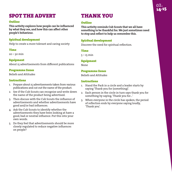# SPOT THE ADVERT

#### **Outline**

This activity explores how people can be influenced by what they see, and how this can affect other people's behaviour.

#### Spiritual development

Help to create a more tolerant and caring society

#### Time

 $20 - 30$  min

#### Equipment

About 15 advertisements from different publications

#### Programme Zones

Beliefs and Attitudes

#### Instructions

- 1. Prepare about 15 advertisements taken from various publications and cut out the name of the product.
- 2. See if the Cub Scouts can recognise and write down the name of the product being advertised.
- 3. Then discuss with the Cub Scouts the influence of advertisements and whether advertisements have good and/or bad influences.
- 4. Ask the Cub Scouts to identify whether the advertisements they have been looking at have a good, bad or neutral influence. Put this into your own words.
- 5. Do they feel that advertisements should be more closely regulated to reduce negative influences on people?

# THANK YOU

#### Outline

This activity reminds Cub Scouts that we all have something to be thankful for. We just sometimes need to stop and reflect to help us remember this.

#### Spiritual development

Discover the need for spiritual reflection.

#### Time

 $5 - 15$  min

#### Equipment

None

#### Programme Zones

Beliefs and Attitudes

- 1. Stand the Pack in a circle and a leader starts by saying 'Thank you for (something)'.
- 2. Each person in the circle in turn says thank you for something by saying, 'Thank you for...'
- 3. When everyone in the circle has spoken, the period of reflection ends by everyone saying loudly, 'Thank you'.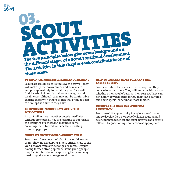# The five principles below give some background on the different stages of a Scout's spiritual development. The activities in this chapter each contribute to one of these areas. 03. SCOUT ACTIVITIES below give some background on

#### DEVELOP AN INNER DISCIPLINE AND TRAINING

Scouts are less likely to just follow the crowd – they will make up their own minds and be ready to accept responsibility for what they do. They will find it easier to identify their own strengths and weaknesses, although they may not be comfortable sharing these with others. Scouts will often be keen to develop the abilities they have.

#### BE INVOLVED IN CORPORATE ACTIVITIES WITH OTHERS

A Scout will notice that other people need help without prompting. They are learning to appreciate the strengths of others, but may need some encouragement to work outside their existing friendship groups.

#### UNDERSTAND THE WORLD AROUND THEM

Scouts are often concerned about the world around them. They are developing a more critical view of the world drawn from a wide range of sources. Despite having formed strong opinions, some young people may feel inhibited about expressing them and may need support and encouragement to do so.

#### HELP TO CREATE A MORE TOLERANT AND CARING SOCIETY

Scouts will show their respect in the way that they behave towards others. They will make decisions as to whether other people 'deserve' their respect. They can be tolerant towards other faiths, beliefs and cultures and show special concern for those in need.

#### DISCOVER THE NEED FOR SPIRITUAL **REFLECTION**

Scouts need the opportunity to explore moral issues and so develop their own set of values. Scouts should be encouraged to reflect on recent activities and events followed by questioning or reflection as appropriate.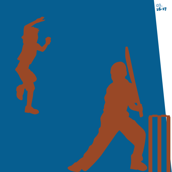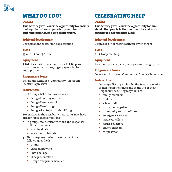# WHAT DO I DO?

#### **Outline**

18-19 03.

> This activity gives Scouts the opportunity to consider their opinion of, and approach to, a number of different scenarios, in a safe environment.

#### Spiritual development

Develop an inner discipline and training

#### Time

 $45$  min  $-1$  hour 30 min

#### Equipment

A list of scenarios, paper and pens, felt-tip pens, magazines, scissors, glue, sugar paper, a laptop and a printer

#### Programme Zones

Beliefs and Attitudes | Community | Fit for Life Creative Expression

#### Instructions

- 1. Draw up a list of scenarios such as:
	- Being offered cigarettes
	- Being offered alcohol
	- Being offered drugs
	- Being asked to join in shoplifting

Be sensitive to the possibility that Scouts may have already faced these situations.

- 2. In groups, brainstorm reactions and responses to these situations:
	- as individuals
	- as a group of friends.
- 3. Show responses using one or more of the following methods:
	- Drama
	- Cartoon drawing
	- Photo-collage
	- Slide presentation
	- Design and print a booklet.

# CELEBRATING HELP

#### Outline

This activity gives Scouts the opportunity to think about other people in their community, and work together to celebrate their work.

#### Spiritual development

Be involved in corporate activities with others

#### Time

2 – 3 Troop meetings

#### Equipment

Paper and pens, cameras, laptops, name badges, food

#### Programme Zones

Beliefs and Attitudes | Community | Creative Expression

- 1. Draw up a list of people who the Scouts recognise as helping in their lives and in the life of their neighbourhood. They may think of:
	- family members
	- leaders
	- school staff
	- local crossing patrol
	- community support officers
	- emergency services
	- local councillors
	- refuse collectors
	- graffiti cleaners
	- the postman.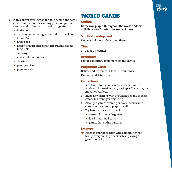- 2. Plan a buffet evening for all these people and some entertainment for the evening (ie show, quiz or awards night). Scouts will need to organise:
	- invitations
	- cards for announcing name and nature of help on arrival
	- dress code
	- design and produce certificates/name badges for guests
	- catering
	- master of ceremonies
	- clearing up
	- photographer
	- press release.

# WORLD GAMES

#### **Outline**

Games are played throughout the world and this activity allows Scouts to try some of these.

#### Spiritual development

Understand the world around them

#### Time

1 – 2 Troop meetings

#### Equipment

Laptops, Internet, equipment for the games

#### Programme Zones

Beliefs and Attitudes | Global | Community Outdoor and Adventure

#### Instructions

- 1. Ask Scouts to research games from around the world (an internet activity perhaps). These may be indoor or outdoor.
- 2. Invite any visitors with knowledge of any of these games to attend your meeting.
- 3. Arrange a games evening or day in which your chosen games can be played by all.
- 4. Try to organise a mixture of:
	- current fashionable games
	- local traditional games
	- games from other cultures

#### Do more

 $\rightarrow$  Perhaps end the session with something that brings everyone together (such as playing a games console).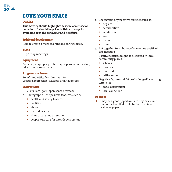# LOVE YOUR SPACE

#### **Outline**

20-21 03.

> This activity should highlight the issue of antisocial behaviour. It should help Scouts think of ways to overcome both the behaviour and its effects.

#### Spiritual development

Help to create a more tolerant and caring society

#### Time

 $1 - 3$  Troop meetings

#### Equipment

Cameras, a laptop, a printer, paper, pens, scissors, glue, felt-tip pens, sugar paper

#### Programme Zones

Beliefs and Attitudes | Community Creative Expression | Outdoor and Adventure

#### Instructions

- 1. Visit a local park, open space or woods.
- 2. Photograph all the positive features, such as:
	- health and safety features
	- facilities
	- views
	- natural beauty
	- signs of care and attention
	- people who care for it (with permission)
- 3. Photograph any negative features, such as:
	- neglect
	- deterioration
	- vandalism
	- graffiti
	- dangers
	- litter
- 4. Put together two photo-collages one positive/ one negative.

 Positive features might be displayed in local community places:

- schools
- libraries
- town hall
- faith centres.

 Negative features might be challenged by writing letters to:

- parks department
- local councillor.

#### Do more

 $\rightarrow$  It may be a good opportunity to organise some 'clear up' action that could be featured in a local newspaper.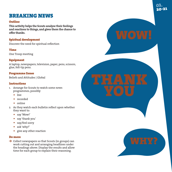# BREAKING NEWS

#### **Outline**

This activity helps the Scouts analyse their feelings and reactions to things, and gives them the chance to offer thanks.

20-03.

WOW!

YOU

THANK

WHY?

#### Spiritual development

Discover the need for spiritual reflection

#### Time

One Troop meeting

#### Equipment

A laptop, newspapers, television, paper, pens, scissors, glue, felt-tip pens.

#### Programme Zones

Beliefs and Attitudes | Global

#### Instructions

- 1. Arrange for Scouts to watch some news programmes, possibly
	- live
	- recorded
	- online
- 2. As they watch each bulletin reflect upon whether they want to:
	- say 'Wow!'
	- say 'thank you'
	- say/feel sorry
	- ask 'why?'
	- give any other reaction

#### Do more

 $\rightarrow$  Collect newspapers so that Scouts (in groups) can work cutting out and arranging headlines under the headings above. Display the results and allow time for each group to explain their reasoning.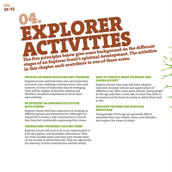# The five principles below give some background on the different<br>The five principles below give some background on the activities stages of an Explorer Scout's spiritual development. The activities in this chapter each contribute to one of these areas. 04. EXPLORER. ACTIVITIES below give some background on the Second Land Land Contract Contract Contract Contract Contract Contract Contract Contract Contract Contract Contract Contract Contract Contract Contract Contract Contract Contrac

#### DEVELOP AN INNER DISCIPLINE AND TRAINING

Explorer Scouts will have their own set of priorities and some may challenge existing norms, rules and routines. A sense of leadership may be emerging. They will be capable of decision making and therefore should be empowered to direct their own activities.

#### BE INVOLVED IN CORPORATE ACTIVITIES WITH OTHERS

Explorer Scouts will have experience of working in different groups and environments. Although it is important to create a safe environment to ensure that they feel comfortable expressing their views.

#### UNDERSTAND THE WORLD AROUND THEM

Explorer Scouts will tend to be more sophisticated in how they gather and assimilate information. They are more socially aware and may have strong views on the society in which they live. They can appreciate the diversity of their communities and the world.

#### HELP TO CREATE A MORE TOLERANT AND CARING SOCIETY

Explorer Scouts' lives may well have adopted elements of many cultures and appreciation of difference can often seem quite natural. Young people at this age will have a clear idea on how they wish to be treated and the kind of society in which they wish to live.

#### DISCOVER THE NEED FOR SPIRITUAL REFLECTION

Young people of this age are generally able to articulate their own beliefs, values and attitudes; and explore the views of others.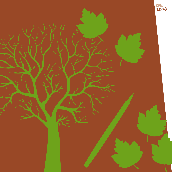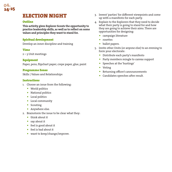# ELECTION NIGHT

#### **Outline**

24-25 04.

> This activity gives Explorer Scouts the opportunity to practice leadership skills, as well as to reflect on some values and principles they want to stand for.

#### Spiritual development

Develop an inner discipline and training

#### Time

2 – 3 Unit meetings

#### Equipment

Paper, pens, flipchart paper, crepe paper, glue, paint

#### Programme Zones

Skills | Values and Relationships

- 1. Choose an issue from the following:
	- World politics
	- National politics
	- Local politics
	- Local community
	- Scouting
	- Anywhere else.
- 2. Brainstorm the issue to be clear what they:
	- think about it
	- say about it
	- feel is good about it
	- feel is bad about it
	- want to keep/change/improve.
- 3. Invent 'parties' for different viewpoints and come up with a manifesto for each party.
- 4. Explain to the Explorers that they need to decide what their party is going to stand for and how they are going to achieve their aims. There are opportunities for designing:
	- campaign literature
	- rosettes
	- ballot papers.
- 5. Invite other Units (or anyone else) to an evening to form your electorate:
	- Distribute each party's manifesto
	- Party members mingle to canvas support
	- Speeches at the 'hustings'
	- Voting
	- Returning officer's announcements
	- Candidates speeches after result.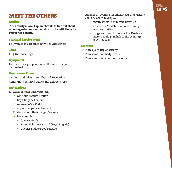# MEET THE OTHERS

#### **Outline**

This activity allows Explorer Scouts to find out about other organisations and establish links with them for everyone's benefit.

#### Spiritual development

Be involved in corporate activities with others

#### Time

2 – 3 Unit meetings

#### Equipment

Needs will vary depending on the activities you choose to do

#### Programme Zones

Outdoor and Adventure | Physical Recreation Community Service | Values and Relationships

#### **Instructions**

- 1. Make contact with your local:
	- Girl Guide Senior Section
	- Boys' Brigade Seniors
	- Air/Army/Sea Cadets
	- any others you can think of.
- 2. Find out about their badges/awards
	- For example:
		- Queen's Guide
		- Young Volunteer Award (Boys' Brigade)
		- Queen's Badge (Boys' Brigade)
- 3. Arrange an evening together. Hosts and visitors could be asked to display:
	- pictures/details of recent activities
	- a diary and/or details of forthcoming events/activities
	- badge and award information. Hosts and visitors could plan half of the evening's activities each.

#### Do more

- $\rightarrow$  Plan a joint trip or activity
- $\rightarrow$  Plan some joint badge work
- $\rightarrow$  Plan some joint community work.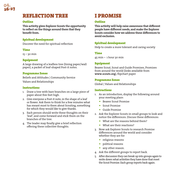# REFLECTION TREE

#### Outline

26-27 04.

> This activity gives Explorer Scouts the opportunity to reflect on the things around them that they benefit from.

#### Spiritual development

Discover the need for spiritual reflection

#### Time

15 – 30 min

#### Equipment

A large drawing of a leafless tree (lining paper/wall paper), a packet of leaf-shaped Post-it notes.

#### Programme Zones

Beliefs and Attitudes | Community Service Values and Relationships

#### **Instructions**

- 1. Draw a tree with bare branches on a large piece of paper about five feet high.
- 2. Give everyone a Post-it note, in the shape of a leaf or flower. Ask them to think for a few minutes what has meant most to them about Scouting, something for which they would like to give thanks.
- 3. Each person should write these thoughts on their 'leaf', and come forward and stick them on the branches of the tree.
- 4. The leader may finally give a brief reflection offering these collective thoughts.

# I PROMISE

#### Outline

This activity will help raise awareness that different people have different needs, and make the Explorer Scouts consider how we address these differences to avoid exclusion.

#### Spiritual development

Help to create a more tolerant and caring society

#### Time

 $45$  min – 1 hour 30 min

#### Equipment

Beaver Scout, Scout and Guide Promises, Promises from around the world (links available from www.scouts.org), flipchart paper

#### Programme Zones

Global | Values and Relationships

- 1. As an introduction, display the following around your meeting place:
	- Beaver Scout Promise
	- Scout Promise
	- Guide Promise
- 2. Ask the Explorer Scouts in small groups to look and notice the differences. Discuss these differences:
	- What are the reasons behind them?
	- What are their reactions?
- 3. Now ask Explorer Scouts to research Promise differences around the world and consider whether they are for
	- religious reasons
	- political reasons
	- any other reason.
- 4. Ask the different groups to report back.
- 5. After discussion they can break up into groups again to write down what activities they have done that meet the Scout Promise. Each group reports back again.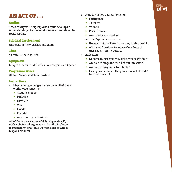# AN ACT OF . . .

#### Outline

This activity will help Explorer Scouts develop an understanding of some world-wide issues related to social justice.

#### Spiritual development

Understand the world around them

#### Time

 $30$  min  $-1$  hour  $15$  min

#### Equipment

Images of some world-wide concerns, pens and paper

#### Programme Zones

Global | Values and Relationships

#### **Instructions**

- 1. Display images suggesting some or all of these world-wide concerns:
	- Climate change
	- Pollution
	- HIV/AIDS
	- War
	- Floods
	- Poverty
	- Any others you think of.

All of these have causes which people identify with, debate and argue about. Ask the Explorers to brainstorm and come up with a list of who is responsible for it.

- 2. Here is a list of traumatic events:
	- Earthquake
	- Tsunami
	- Volcano
	- Coastal erosion
	- Any others you think of.

Ask the Explorers to discuss:

• the scientific background as they understand it

26-27 04.

- what could be done to reduce the effects of these events in the future.
- 3. Reflection:
	- Do some things happen which are nobody's fault?
	- Are some things the result of human action?
	- Are some things unattributable?
	- Have you ever heard the phrase 'an act of God'? In what context?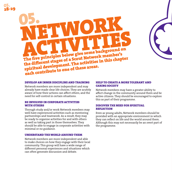The five principles below give some background on the different stages of a Scout Network member's spiritual development. The activities in this chapter each contribute to one of these areas. 05. NETWORK ACTIVITIES below give some background on

#### DEVELOP AN INNER DISCIPLINE AND TRAINING

Network members are more independent and may already have made clear life choices. They are acutely aware of how their actions can affect others, and the need for self-control in certain situations.

#### BE INVOLVED IN CORPORATE ACTIVITIES WITH OTHERS

28-29 05.

> Through study and/or work Network members may well have experienced activities such as mentoring partnerships and teamwork. As a result, they may be ready to organise activities for and with others as well as taking part in those themselves. They should be able to engage in corporate activities with minimal or no guidance.

#### UNDERSTAND THE WORLD AROUND THEM

Network members are more independent and able to make choices on how they engage with their local community. This group will have a wide range of different personal experiences and situations which can often generate discussion and debate.

#### HELP TO CREATE A MORE TOLERANT AND CARING SOCIETY

Network members may have a greater ability to affect change in the community around them and be active citizens. They should be encouraged to explore this as part of their programme.

#### DISCOVER THE NEED FOR SPIRITUAL **REFLECTION**

Even as young adults, Network members should be provided with an appropriate environment in which they can reflect on life and the world around them. Although this may not necessarily be an overt part of the programme.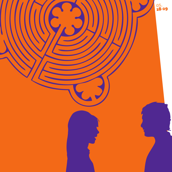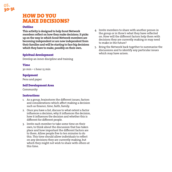## HOW DO YOU MAKE DECISIONS?

#### **Outline**

30-31 05.

> This activity is designed to help Scout Network members reflect on how they make decisions. It picks up on the way in which Scout Network members are becoming independent or are now independent from their families and will be starting to face big decisions which they have to make, possibly on their own.

#### Spiritual development

Develop an inner discipline and training

#### Time

 $30$  min  $-1$  hour  $15$  min

#### Equipment

Pens and paper

#### Self Development Area

Community

- 1. As a group, brainstorm the different issues, factors and considerations which affect making a decision such as finance, time, faith, family.
- 2. Once you have a list, discuss to what extent a factor influences a decision, why it influences the decision, how it influences the decision and whether this is different for different people.
- 3. Invite each member to take some time on their own, to think about the discussion that has taken place and how important the different factors are to them. Allow people five to ten minutes to do this. This time should allow individuals to reflect on any decisions they are currently making, but which they might not wish to share with others at this time.
- 4. Invite members to share with another person in the group or in three's what they have reflected on. How will the different factors help them with decisions they are currently making or may need to make in the future?
- 5. Bring the Network back together to summarise the discussions and to identify any particular issues which may have arisen.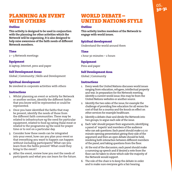# PLANNING AN EVENT WITH OTHERS

#### **Outline**

This activity is designed to be used in conjunction with the planning for other activities which the Network will be organising. It is also designed to help raise awareness of the faith needs of different Network members.

#### Time

2 – 3 Network meetings

Equipment A laptop, Internet, pens and paper

#### Self Development Areas

Global | Community | Skills and Development

#### Spiritual development

Be involved in corporate activities with others

#### **Instructions**

- 1. Whilst planning an event or activity for Network or another section, identify the different faiths that you know will be represented or could be represented.
- 2. Once you have identified the faiths that may be present, identify the needs of those from the different faith communities. These may be related to infrastructure eg the need for particular equipment, related to food eg eating Halal meat or related to the programme eg the need for prayer time or to rest on a particular day.
- 3. Consider how these needs can be integrated into your event, how can you plan your event so that everything you want to happen can happen without excluding participants? What can you learn from the faiths present? What could they bring to the event?
- 4. After the event, review how you met the needs of participants and what you can learn for the future.

## WORLD DEBATE – UNITED NATIONS STYLE

#### **Outline**

This activity invites members of the Network to engage with world issues.

#### Spiritual development

Understand the world around them

#### Time

1 hour 30 minutes – 2 hours

#### **Equipment**

Pens and paper

#### Self Development Area

Global | Community

- 1. Every week the United Nations discusses world issues ranging from education, refugees, intellectual property and war. In preparation for the Network meeting, identify a current world issue, this may be from the United Nations websites or another source.
- 2. Identify the two sides of the issue, for example the challenge of providing free education for all verses the cost of that for a country and the knock on effect on other services for example healthcare.
- 3. Identify a debate chair and divide the Network into two groups, to argue each side of the issue.
- 4. Each 'side' should prepare their arguments, identifying a panel of 'experts' and members of the audience who can ask questions. Each panel should make a 5-10 minute opening presentation giving their side of the argument and then an open debate should be held, involving both interaction between different members of the panel, and taking questions from the floor.
- 5. At the end of the discussion, each panel should make a summing up speech and if desired a vote from the floor can be taken to show which side the majority of the Network would support.
- 6. The role of the chair is to keep the debate in order and to make sure everyone gets a fair hearing.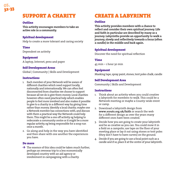# SUPPORT A CHARITY

#### **Outline**

This activity encourages members to take an active role in a community.

#### Spiritual development

Help to create a more tolerant and caring society

#### Time

Dependent on activity

#### Equipment

A laptop, Internet, pens and paper

#### Self Development Areas

Global | Community | Skills and Development

#### Instructions

- 1. Each member of your Network will be aware of different charities which need support locally, nationally and internationally. We can often feel disconnected from charities we choose to support because all we do is give them money. Local charities however often need practical help which enables people to feel more involved and also makes it possible to give to a charity in a different way by giving time rather than money. Identify a local charity; maybe one a Network member has connections with, and discuss with them a practical way the Network could help them. This might be a one off activity eg helping to redecorate a community centre or it might be a more regular activity, eg being responsible for a soup run once a month.
- 2. Go along and help in the way you have identified and then share with one another the experiences you have.

#### Do more

 $\rightarrow$  The essence of this idea could be taken much further. perhaps an overseas trip to a less economically developed country with an aid agency or involvement in campaigning with a charity.

# CREATE A LABYRINTH

#### **Outline**

This activity provides members with a chance to reflect and consider their own spiritual journey. Life and faith in particular are described by many as a journey. Labyrinths provide an opportunity to walk a journey, slowly and reflectively towards a focus (often a candle) in the middle and back again.

#### Spiritual development

Discover the need for spiritual reflection

#### Time

 $45$  min  $-1$  hour 30 min

#### Equipment

Masking tape, spray paint, stones, tent poles chalk, candle

#### Self Development Area

Community | Skills and Development

- 1. Think about an activity when you could creative a labyrinth for members to walk. This could be a Network meeting or maybe a County-wide event or camp.
- 2. Download a labyrinth design from www.scouts.org.uk/faith or search the web for a different design as over the years many different ones have been created.
- 3. Decide how you are going to create your labyrinth and be as creative as you can. You could mow it in a field on a campsite, use tape on the floor of your meeting place or lay it out using stones or tent poles (they don't have to have curves) on the ground.
- 4. Decide if you are going to use a focal point such as a candle and if so, place it at the centre of your labyrinth.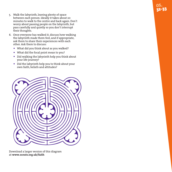- 5. Walk the labyrinth, leaving plenty of space between each person. Ideally it takes about 20 minutes to walk to the centre and back again. Don't worry about passing people on the labyrinth, but pass carefully and quietly so you don't interrupt their thoughts.
- 6. Once everyone has walked it, discuss how walking the labyrinth made them feel, and if appropriate, ask them to share their experiences with each other. Ask them to discuss:
	- What did you think about as you walked?
	- What did the focal point mean to you?
	- Did walking the labyrinth help you think about your life journey?
	- Did the labyrinth help you to think about your own faith, beliefs and attitudes?



Download a larger version of this diagram at www.scouts.org.uk/faith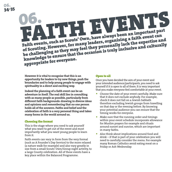34-35 06.

Faith events, such as Scouts' Own, have always been an important part<br>Faith events, such as Scouts' Own, have always been an important can of Scouting. However, for many leaders, organising a faith event can be challenging as they may feel they personally lack the expertise and knowledge to ensure that the occasion is truly inclusive and culturally appropriate for everyone. 06. **OG.**<br>THE INSECTION OF THE MANUS DEPARTMENT PATTERS OF THE PATTERS OF THE PATTERS OF THE PATTERS OF THE PATTERS OF THE PATTERS AND THE PATTERS AND THE PATTERS.

However it is vital to recognise that this is an opportunity for leaders to try new things, push the boundaries and to help young people to engage with spirituality in a direct and exciting way.

Indeed the planning of a faith event can be an adventure in itself. The real skill lies in consulting with as many people as possible, particularly from different faith backgrounds: drawing in diverse ideas and opinions and remembering that no one person holds all of the answers. Faiths and belief and the celebration of faith is a very personal thing and takes many forms in the world around us.

#### Choosing the format

This is the stage where you need to ask yourself what you want to get out of the event and most importantly what you want young people to learn from it.

Faith events can vary in form from the very formal (such as A Founder's Day Service) to the more relaxed (a nature walk for example) and also vary greatly in size from a small Scouts' Own/Group night activity, to a large County celebration. All of these events have a key place within the Balanced Programme.

#### Open to all

Once you have decided the aim of your event and your intended audience/participants, you need to ask yourself if it is open to all of them. It is very important that you make everyone feel comfortable at your event.

- Choose the date of your event carefully. Make sure that it does not exclude anybody. For example, check it does not fall on a Jewish Sabbath therefore excluding Jewish groups from travelling on that day or the evening before. By knowing your potential audience you can ensure that the timing works for everyone.
- Make sure that the running order and timings within your event schedule incorporate allowance for Muslim prayers for example and rituals around sunset and sunrise, which are important in many faiths.
- Also think about implications around food and drink – if that is part of your celebration you will need to carefully consider the menu. For example many Roman Catholics avoid eating meat on a Friday or Ash Wednesday.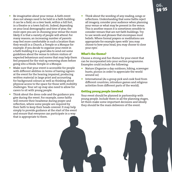- Be imaginative about your venue. A faith event<br>does not always need to be held in a faith buildi<br>it can be a field, on a river bank, within a hill for<br>in a theatre or a town hall etc. Indeed, dependin<br>on your local demog does not always need to be held in a faith building: it can be a field, on a river bank, within a hill fort, in a theatre or a town hall etc. Indeed, depending on your local demographic and time of year, the more open you are in choosing your venue the more likely it is that a variety of people will attend. For many reasons, an increasing number of parents may feel more comfortable in such a location than they would in a Church, a Temple or a Mosque for example. If you decide to organise your event in a faith building it is a good idea to send out some guidelines about the venue to inform visitors of expected behaviours and norms that may help them feel prepared for the visit eg removing shoes before going into a Hindu Temple or a Mosque.
	- Make sure that your event is accessible for people with different abilities in terms of having signers at the event for the hearing impaired, producing written material in large print and accounting for background colours as well as thinking about physical access to the space for those with mobility challenges. Your set up may also need to allow for carers to sit with young people.
	- Think about the dress code and the guidance you give during the event. For example, some faiths will remove their headwear during prayer and reflection, where some people are required by their faith to keep their heads covered. It may help simply to provide guidance at the start of the event and ensure that everyone can participate in a way that is appropriate to them.

• Think about the wording of any reading, songs or reflections. Understanding that some faiths reject all imagery, consider your audience when planning your venue or what may be present in the venue. This is another reason it is sometimes sensible to consider venues that are not faith buildings. Try to use words and phrases that encompass most beliefs. Where formal prayers or meditations are appropriate for example open with 'you may choose to bow your head, you may choose to close your eyes'.

#### What's the theme?

Choose a strong and fun theme for your event that can be incorporated into your section programme. Examples could include the following:

- Nature (Organise a day outdoors, hiking, scavenger hunts, picnics in order to appreciate the world around us)
- International (As a group pick and cook food from different countries, introduce games and religious activities from different parts of the world).

#### Getting young people involved

Your event should be planned in partnership with young people. Include them in all the planning stages, let them make some important decisions and ideally they should be the main deliverers of the event.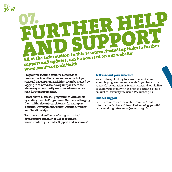36-37 07.

# All of the information in this resource, including links to further support and updates, can be accessed on our website: www.scouts.org.uk/faith 07. PURTHER HELP **AND SUPPORT PRIMARY SUPPORT AND SUPPORT PRIMARY SUPPORT AND SUPPORT AND SUPPORT AND SUPPORT AND SUPPORT AND SUPPORT AND SUPPORT AND SUPPORT AND SUPPORT AND SUPPORT AND SUPPORT AND SUPPORT AND SUPPORT AND SUPPORT AND SUPPO**

Programmes Online contains hundreds of programme ideas that you can use as part of your spiritual development activities. It can be viewed by logging in at www.scouts.org.uk/pol. There are also many other charity websites where you can seek further information.

Please share successful programmes with others by adding them to Programmes Online, and tagging them with relevant search terms, for example: 'Spiritual Development', 'Belief', 'Attitude', 'Values' and 'Relationships'.

Factsheets and guidance relating to spiritual development and faith could be found on www.scouts.org.uk under 'Support and Resources'.

#### Tell us about your successes

We are always looking to learn from and share example programmes and events. If you have run a successful celebration or Scouts' Own, and would like to share your event with the rest of Scouting, please email it to: diversity.inclusion@scouts.org.uk

#### Further support

Further resources are available from the Scout Information Centre at Gilwell Park on 0845 300 1818 or by emailing info.centre@scouts.org.uk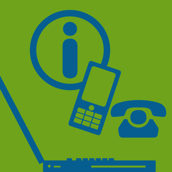